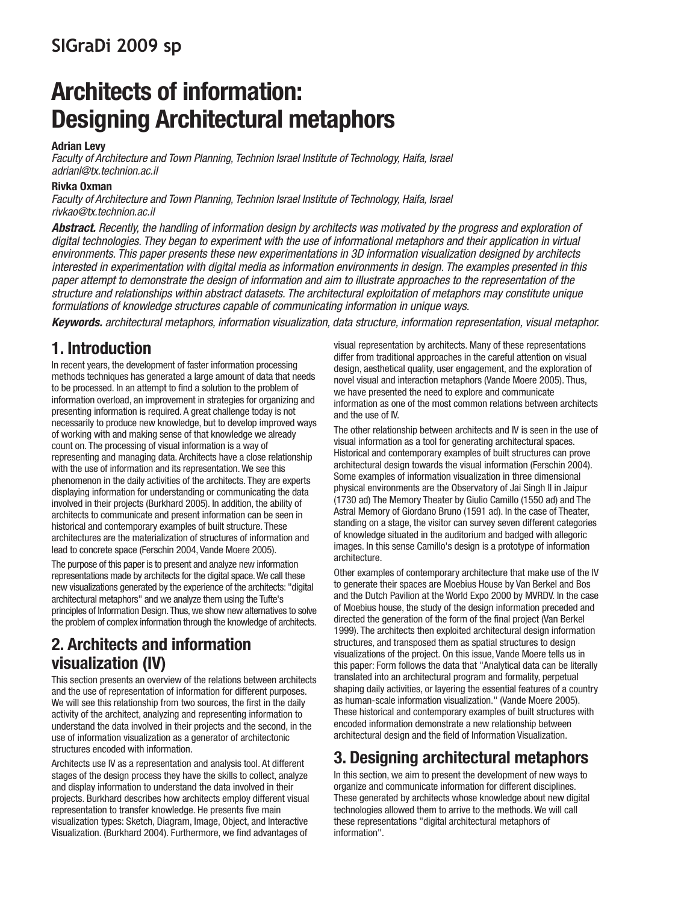# **SIGraDi 2009 sp**

# **Architects of information: Designing Architectural metaphors**

#### **Adrian Levy**

Faculty of Architecture and Town Planning, Technion Israel Institute of Technology, Haifa, Israel adrianl@tx.technion.ac.il

#### **Rivka Oxman**

Faculty of Architecture and Town Planning, Technion Israel Institute of Technology, Haifa, Israel rivkao@tx.technion.ac.il

**Abstract.** Recently, the handling of information design by architects was motivated by the progress and exploration of digital technologies. They began to experiment with the use of informational metaphors and their application in virtual environments. This paper presents these new experimentations in 3D information visualization designed by architects interested in experimentation with digital media as information environments in design. The examples presented in this paper attempt to demonstrate the design of information and aim to illustrate approaches to the representation of the structure and relationships within abstract datasets. The architectural exploitation of metaphors may constitute unique formulations of knowledge structures capable of communicating information in unique ways.

**Keywords.** architectural metaphors, information visualization, data structure, information representation, visual metaphor.

## **1. Introduction**

In recent years, the development of faster information processing methods techniques has generated a large amount of data that needs to be processed. In an attempt to find a solution to the problem of information overload, an improvement in strategies for organizing and presenting information is required. A great challenge today is not necessarily to produce new knowledge, but to develop improved ways of working with and making sense of that knowledge we already count on. The processing of visual information is a way of representing and managing data. Architects have a close relationship with the use of information and its representation. We see this phenomenon in the daily activities of the architects. They are experts displaying information for understanding or communicating the data involved in their projects (Burkhard 2005). In addition, the ability of architects to communicate and present information can be seen in historical and contemporary examples of built structure. These architectures are the materialization of structures of information and lead to concrete space (Ferschin 2004, Vande Moere 2005).

The purpose of this paper is to present and analyze new information representations made by architects for the digital space. We call these new visualizations generated by the experience of the architects: "digital architectural metaphors" and we analyze them using the Tufte's principles of Information Design. Thus, we show new alternatives to solve the problem of complex information through the knowledge of architects.

## **2. Architects and information visualization (IV)**

This section presents an overview of the relations between architects and the use of representation of information for different purposes. We will see this relationship from two sources, the first in the daily activity of the architect, analyzing and representing information to understand the data involved in their projects and the second, in the use of information visualization as a generator of architectonic structures encoded with information.

Architects use IV as a representation and analysis tool. At different stages of the design process they have the skills to collect, analyze and display information to understand the data involved in their projects. Burkhard describes how architects employ different visual representation to transfer knowledge. He presents five main visualization types: Sketch, Diagram, Image, Object, and Interactive Visualization. (Burkhard 2004). Furthermore, we find advantages of

visual representation by architects. Many of these representations differ from traditional approaches in the careful attention on visual design, aesthetical quality, user engagement, and the exploration of novel visual and interaction metaphors (Vande Moere 2005). Thus, we have presented the need to explore and communicate information as one of the most common relations between architects and the use of IV.

The other relationship between architects and IV is seen in the use of visual information as a tool for generating architectural spaces. Historical and contemporary examples of built structures can prove architectural design towards the visual information (Ferschin 2004). Some examples of information visualization in three dimensional physical environments are the Observatory of Jai Singh II in Jaipur (1730 ad) The Memory Theater by Giulio Camillo (1550 ad) and The Astral Memory of Giordano Bruno (1591 ad). In the case of Theater, standing on a stage, the visitor can survey seven different categories of knowledge situated in the auditorium and badged with allegoric images. In this sense Camillo's design is a prototype of information architecture.

Other examples of contemporary architecture that make use of the IV to generate their spaces are Moebius House by Van Berkel and Bos and the Dutch Pavilion at the World Expo 2000 by MVRDV. In the case of Moebius house, the study of the design information preceded and directed the generation of the form of the final project (Van Berkel 1999). The architects then exploited architectural design information structures, and transposed them as spatial structures to design visualizations of the project. On this issue, Vande Moere tells us in this paper: Form follows the data that "Analytical data can be literally translated into an architectural program and formality, perpetual shaping daily activities, or layering the essential features of a country as human-scale information visualization." (Vande Moere 2005). These historical and contemporary examples of built structures with encoded information demonstrate a new relationship between architectural design and the field of Information Visualization.

## **3. Designing architectural metaphors**

In this section, we aim to present the development of new ways to organize and communicate information for different disciplines. These generated by architects whose knowledge about new digital technologies allowed them to arrive to the methods. We will call these representations "digital architectural metaphors of information".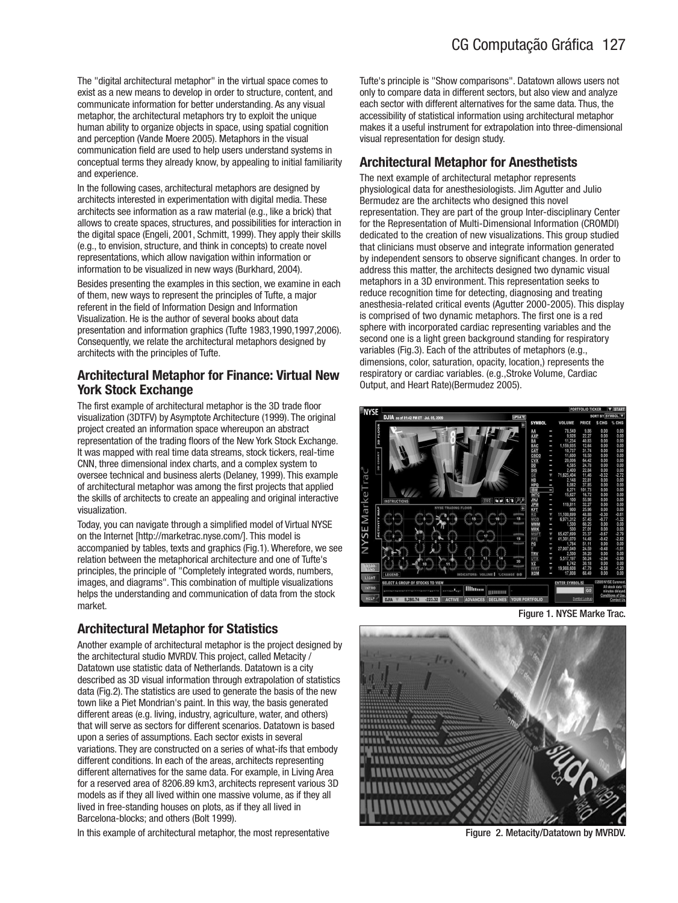The "digital architectural metaphor" in the virtual space comes to exist as a new means to develop in order to structure, content, and communicate information for better understanding. As any visual metaphor, the architectural metaphors try to exploit the unique human ability to organize objects in space, using spatial cognition and perception (Vande Moere 2005). Metaphors in the visual communication field are used to help users understand systems in conceptual terms they already know, by appealing to initial familiarity and experience.

In the following cases, architectural metaphors are designed by architects interested in experimentation with digital media. These architects see information as a raw material (e.g., like a brick) that allows to create spaces, structures, and possibilities for interaction in the digital space (Engeli, 2001, Schmitt, 1999). They apply their skills (e.g., to envision, structure, and think in concepts) to create novel representations, which allow navigation within information or information to be visualized in new ways (Burkhard, 2004).

Besides presenting the examples in this section, we examine in each of them, new ways to represent the principles of Tufte, a major referent in the field of Information Design and Information Visualization. He is the author of several books about data presentation and information graphics (Tufte 1983,1990,1997,2006). Consequently, we relate the architectural metaphors designed by architects with the principles of Tufte.

#### **Architectural Metaphor for Finance: Virtual New York Stock Exchange**

The first example of architectural metaphor is the 3D trade floor visualization (3DTFV) by Asymptote Architecture (1999). The original project created an information space whereupon an abstract representation of the trading floors of the New York Stock Exchange. It was mapped with real time data streams, stock tickers, real-time CNN, three dimensional index charts, and a complex system to oversee technical and business alerts (Delaney, 1999). This example of architectural metaphor was among the first projects that applied the skills of architects to create an appealing and original interactive visualization.

Today, you can navigate through a simplified model of Virtual NYSE on the Internet [http://marketrac.nyse.com/]. This model is accompanied by tables, texts and graphics (Fig.1). Wherefore, we see relation between the metaphorical architecture and one of Tufte's principles, the principle of "Completely integrated words, numbers, images, and diagrams". This combination of multiple visualizations helps the understanding and communication of data from the stock market.

### **Architectural Metaphor for Statistics**

Another example of architectural metaphor is the project designed by the architectural studio MVRDV. This project, called Metacity / Datatown use statistic data of Netherlands. Datatown is a city described as 3D visual information through extrapolation of statistics data (Fig.2). The statistics are used to generate the basis of the new town like a Piet Mondrian's paint. In this way, the basis generated different areas (e.g. living, industry, agriculture, water, and others) that will serve as sectors for different scenarios. Datatown is based upon a series of assumptions. Each sector exists in several variations. They are constructed on a series of what-ifs that embody different conditions. In each of the areas, architects representing different alternatives for the same data. For example, in Living Area for a reserved area of 8206.89 km3, architects represent various 3D models as if they all lived within one massive volume, as if they all lived in free-standing houses on plots, as if they all lived in Barcelona-blocks; and others (Bolt 1999).

In this example of architectural metaphor, the most representative

Tufte's principle is "Show comparisons". Datatown allows users not only to compare data in different sectors, but also view and analyze each sector with different alternatives for the same data. Thus, the accessibility of statistical information using architectural metaphor makes it a useful instrument for extrapolation into three-dimensional visual representation for design study.

### **Architectural Metaphor for Anesthetists**

The next example of architectural metaphor represents physiological data for anesthesiologists. Jim Agutter and Julio Bermudez are the architects who designed this novel representation. They are part of the group Inter-disciplinary Center for the Representation of Multi-Dimensional Information (CROMDI) dedicated to the creation of new visualizations. This group studied that clinicians must observe and integrate information generated by independent sensors to observe significant changes. In order to address this matter, the architects designed two dynamic visual metaphors in a 3D environment. This representation seeks to reduce recognition time for detecting, diagnosing and treating anesthesia-related critical events (Agutter 2000-2005). This display is comprised of two dynamic metaphors. The first one is a red sphere with incorporated cardiac representing variables and the second one is a light green background standing for respiratory variables (Fig.3). Each of the attributes of metaphors (e.g., dimensions, color, saturation, opacity, location,) represents the respiratory or cardiac variables. (e.g.,Stroke Volume, Cardiac Output, and Heart Rate)(Bermudez 2005).



Figure 1. NYSE Marke Trac.



Figure 2. Metacity/Datatown by MVRDV.